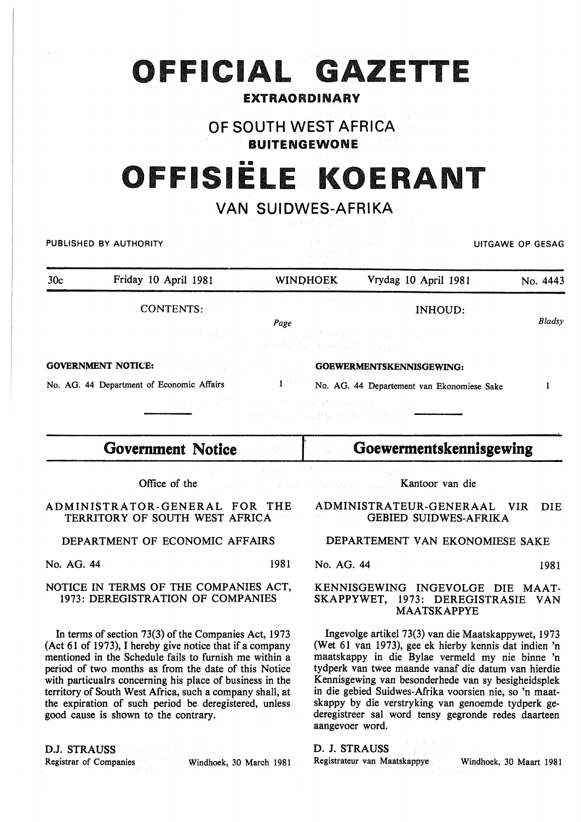| OFFISIELE KOERANT<br><b>VAN SUIDWES-AFRIKA</b><br>그는 말하다 보이는 것이야.<br>and the second state of the second state of the second state of the second state of the second state of the second state of the second state of the second state of the second state of the second state of the second state o<br>PUBLISHED BY AUTHORITY<br>2010년 1월 19일 - 3월 19일 - 1월 19일 <del>-</del> 4월 1 |                                                                        |  |                                                                                                                                    |                                                                               |        |
|-----------------------------------------------------------------------------------------------------------------------------------------------------------------------------------------------------------------------------------------------------------------------------------------------------------------------------------------------------------------------------------|------------------------------------------------------------------------|--|------------------------------------------------------------------------------------------------------------------------------------|-------------------------------------------------------------------------------|--------|
|                                                                                                                                                                                                                                                                                                                                                                                   |                                                                        |  |                                                                                                                                    |                                                                               |        |
|                                                                                                                                                                                                                                                                                                                                                                                   | CONTENTS:                                                              |  | しょうよう えをいし いっぱい いっしょう<br>Page<br>All Contact of the Commission of the Second Contact of<br>and the state of a manager in Fig. 10 s | <b>INHOUD:</b>                                                                | Bladsy |
|                                                                                                                                                                                                                                                                                                                                                                                   | <b>GOVERNMENT NOTICE:</b><br>No. AG. 44 Department of Economic Affairs |  | 经工作者 医二乙二醇 医耳蜗 植物植物植物 医牙足<br>The company is additionally the company                                                               | <b>COEWERMENTSKENNISGEWING:</b><br>No. AG. 44 Departement van Ekonomiese Sake |        |
|                                                                                                                                                                                                                                                                                                                                                                                   | <b>Government Notice</b>                                               |  | <b>SARROLL CONTRACTOR</b>                                                                                                          | Goewermentskennisgewing                                                       |        |

OFFICIAL GAZETTE

EXTRAORDINARY

OF SOUTH WEST AFRICA BUITENGEWONE

1111

Office of the

ADMINISTRATOR-GENERAL FOR THE TERRITORY OF SOUTH WEST AFRICA

DEPARTMENT OF ECONOMIC AFFAIRS

No. AG. 44 1981

NOTICE IN TERMS OF THE COMPANIES ACT, 1973: DEREGISTRATION OF COMPANIES

In terms of section 73(3) of the Companies Act, 1973 (Act 61 of 1973), I hereby give notice that if a company mentioned in the Schedule fails to furnish me within a period of two months as from the date of this Notice with particualrs concerning his place of business in the territory of South West Africa, such a company shall, at the expiration of such period be deregistered, unless good cause is shown to the contrary.

D.J. STRAUSS

Registrar of Companies Windhoek, 30 March 1981

ADMINISTRATEUR-GENERAAL VIR DIE GEBIED SUIDWES-AFRIKA

Kantoor van die

## DEPARTEMENT VAN EKONOMIESE SAKE

No. AG. 44 1981

## KENNISGEWING INGEVOLGE DIE MAAT-SKAPPYWET, 1973: DEREGISTRASIE VAN MAATSKAPPYE

Ingevolge artikel 73(3) van die Maatskappywet, 1973 (Wet 61 van 1973), gee ek hierby kennis dat indien 'n maatskappy in die Bylae vermeld my nie binne 'n tydperk van twee maande vanaf die datum van hierdie Kennisgewing van besonderhede van sy besigheidsplek in die gebied Suidwes-Afrika voorsien nie, so 'n maatskappy by die verstryking van genoemde tydperk gederegistreer sal word tensy gegronde redes daarteen aangevoer word.

D. J. STRAUSS

Registrateur van Maatskappye Windhoek, 30 Maart 1981